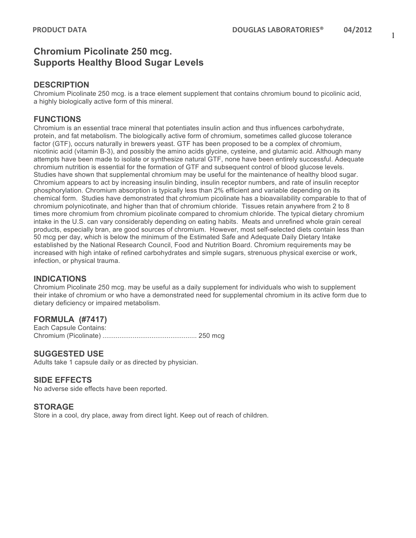# **Chromium Picolinate 250 mcg. Supports Healthy Blood Sugar Levels**

#### **DESCRIPTION**

Chromium Picolinate 250 mcg. is a trace element supplement that contains chromium bound to picolinic acid, a highly biologically active form of this mineral.

### **FUNCTIONS**

Chromium is an essential trace mineral that potentiates insulin action and thus influences carbohydrate, protein, and fat metabolism. The biologically active form of chromium, sometimes called glucose tolerance factor (GTF), occurs naturally in brewers yeast. GTF has been proposed to be a complex of chromium, nicotinic acid (vitamin B-3), and possibly the amino acids glycine, cysteine, and glutamic acid. Although many attempts have been made to isolate or synthesize natural GTF, none have been entirely successful. Adequate chromium nutrition is essential for the formation of GTF and subsequent control of blood glucose levels. Studies have shown that supplemental chromium may be useful for the maintenance of healthy blood sugar. Chromium appears to act by increasing insulin binding, insulin receptor numbers, and rate of insulin receptor phosphorylation. Chromium absorption is typically less than 2% efficient and variable depending on its chemical form. Studies have demonstrated that chromium picolinate has a bioavailability comparable to that of chromium polynicotinate, and higher than that of chromium chloride. Tissues retain anywhere from 2 to 8 times more chromium from chromium picolinate compared to chromium chloride. The typical dietary chromium intake in the U.S. can vary considerably depending on eating habits. Meats and unrefined whole grain cereal products, especially bran, are good sources of chromium. However, most self-selected diets contain less than 50 mcg per day, which is below the minimum of the Estimated Safe and Adequate Daily Dietary Intake established by the National Research Council, Food and Nutrition Board. Chromium requirements may be increased with high intake of refined carbohydrates and simple sugars, strenuous physical exercise or work, infection, or physical trauma.

#### **INDICATIONS**

Chromium Picolinate 250 mcg. may be useful as a daily supplement for individuals who wish to supplement their intake of chromium or who have a demonstrated need for supplemental chromium in its active form due to dietary deficiency or impaired metabolism.

## **FORMULA (#7417)**

Each Capsule Contains: Chromium (Picolinate) .................................................. 250 mcg

### **SUGGESTED USE**

Adults take 1 capsule daily or as directed by physician.

### **SIDE EFFECTS**

No adverse side effects have been reported.

### **STORAGE**

Store in a cool, dry place, away from direct light. Keep out of reach of children.